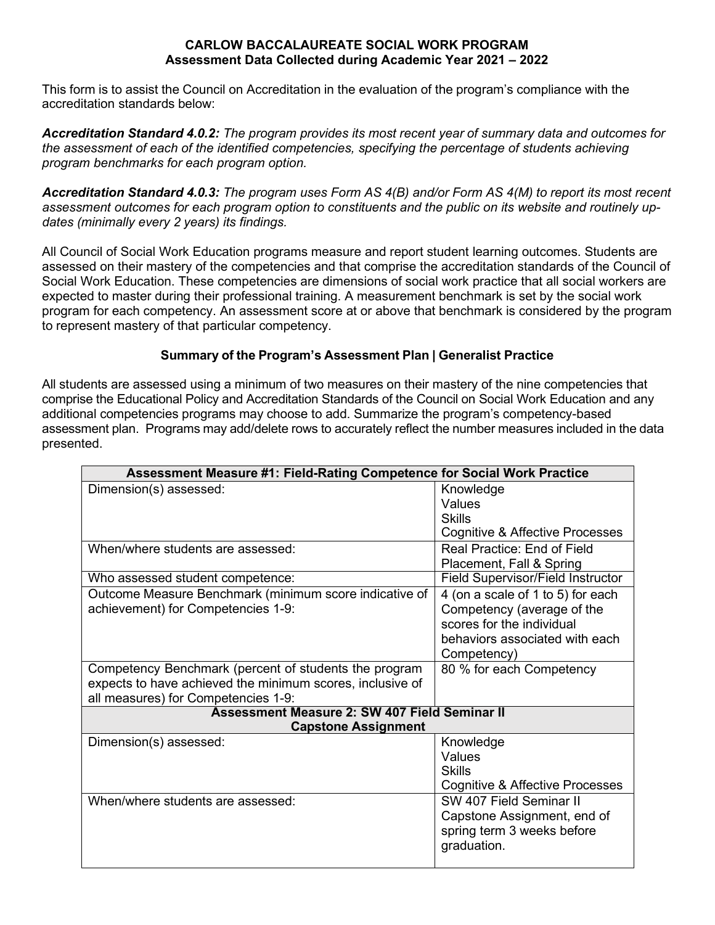## **CARLOW BACCALAUREATE SOCIAL WORK PROGRAM Assessment Data Collected during Academic Year 2021 – 2022**

This form is to assist the Council on Accreditation in the evaluation of the program's compliance with the accreditation standards below:

*Accreditation Standard 4.0.2: The program provides its most recent year of summary data and outcomes for the assessment of each of the identified competencies, specifying the percentage of students achieving program benchmarks for each program option.*

*Accreditation Standard 4.0.3: The program uses Form AS 4(B) and/or Form AS 4(M) to report its most recent assessment outcomes for each program option to constituents and the public on its website and routinely updates (minimally every 2 years) its findings.*

All Council of Social Work Education programs measure and report student learning outcomes. Students are assessed on their mastery of the competencies and that comprise the accreditation standards of the Council of Social Work Education. These competencies are dimensions of social work practice that all social workers are expected to master during their professional training. A measurement benchmark is set by the social work program for each competency. An assessment score at or above that benchmark is considered by the program to represent mastery of that particular competency.

## **Summary of the Program's Assessment Plan | Generalist Practice**

All students are assessed using a minimum of two measures on their mastery of the nine competencies that comprise the Educational Policy and Accreditation Standards of the Council on Social Work Education and any additional competencies programs may choose to add. Summarize the program's competency-based assessment plan. Programs may add/delete rows to accurately reflect the number measures included in the data presented.

| Assessment Measure #1: Field-Rating Competence for Social Work Practice |                                          |  |  |  |
|-------------------------------------------------------------------------|------------------------------------------|--|--|--|
| Dimension(s) assessed:                                                  | Knowledge                                |  |  |  |
|                                                                         | Values                                   |  |  |  |
|                                                                         | Skills                                   |  |  |  |
|                                                                         | Cognitive & Affective Processes          |  |  |  |
| When/where students are assessed:                                       | Real Practice: End of Field              |  |  |  |
|                                                                         | Placement, Fall & Spring                 |  |  |  |
| Who assessed student competence:                                        | <b>Field Supervisor/Field Instructor</b> |  |  |  |
| Outcome Measure Benchmark (minimum score indicative of                  | 4 (on a scale of 1 to 5) for each        |  |  |  |
| achievement) for Competencies 1-9:                                      | Competency (average of the               |  |  |  |
|                                                                         | scores for the individual                |  |  |  |
|                                                                         | behaviors associated with each           |  |  |  |
|                                                                         | Competency)                              |  |  |  |
| Competency Benchmark (percent of students the program                   | 80 % for each Competency                 |  |  |  |
| expects to have achieved the minimum scores, inclusive of               |                                          |  |  |  |
| all measures) for Competencies 1-9:                                     |                                          |  |  |  |
| <b>Assessment Measure 2: SW 407 Field Seminar II</b>                    |                                          |  |  |  |
| <b>Capstone Assignment</b>                                              |                                          |  |  |  |
| Dimension(s) assessed:                                                  | Knowledge                                |  |  |  |
|                                                                         | Values                                   |  |  |  |
|                                                                         | <b>Skills</b>                            |  |  |  |
|                                                                         | Cognitive & Affective Processes          |  |  |  |
| When/where students are assessed:                                       | SW 407 Field Seminar II                  |  |  |  |
|                                                                         | Capstone Assignment, end of              |  |  |  |
|                                                                         | spring term 3 weeks before               |  |  |  |
|                                                                         | graduation.                              |  |  |  |
|                                                                         |                                          |  |  |  |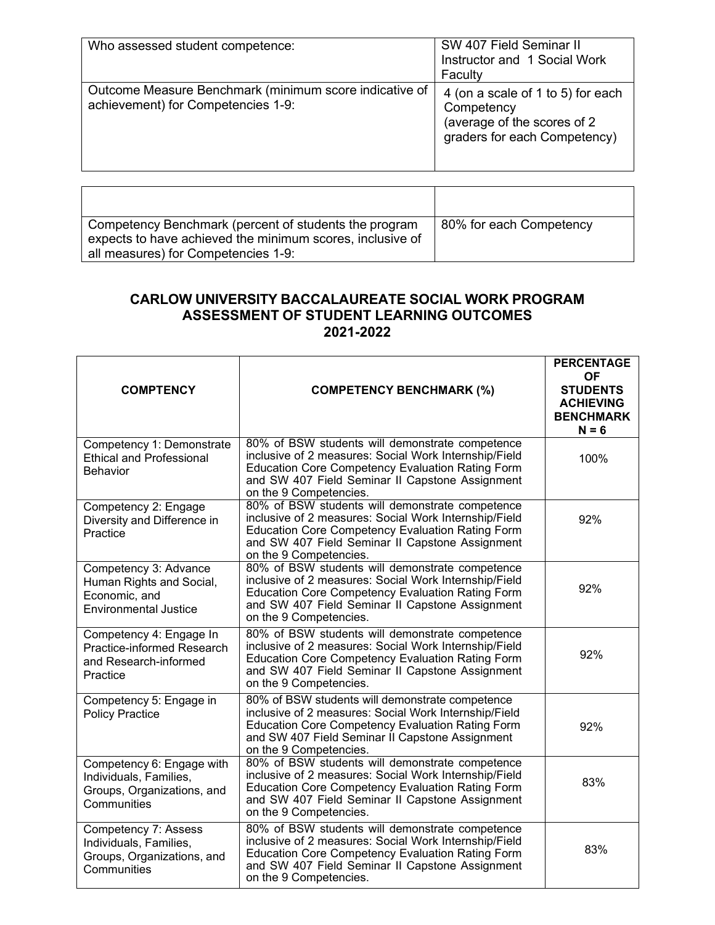| Who assessed student competence:                                                             | SW 407 Field Seminar II<br>Instructor and 1 Social Work<br>Faculty                                             |
|----------------------------------------------------------------------------------------------|----------------------------------------------------------------------------------------------------------------|
| Outcome Measure Benchmark (minimum score indicative of<br>achievement) for Competencies 1-9: | 4 (on a scale of 1 to 5) for each<br>Competency<br>(average of the scores of 2<br>graders for each Competency) |

| Competency Benchmark (percent of students the program<br>expects to have achieved the minimum scores, inclusive of<br>all measures) for Competencies 1-9: | 80% for each Competency |
|-----------------------------------------------------------------------------------------------------------------------------------------------------------|-------------------------|

## **CARLOW UNIVERSITY BACCALAUREATE SOCIAL WORK PROGRAM ASSESSMENT OF STUDENT LEARNING OUTCOMES 2021-2022**

| <b>COMPTENCY</b>                                                                                   | <b>COMPETENCY BENCHMARK (%)</b>                                                                                                                                                                                                                  | <b>PERCENTAGE</b><br><b>OF</b><br><b>STUDENTS</b><br><b>ACHIEVING</b><br><b>BENCHMARK</b><br>$N = 6$ |
|----------------------------------------------------------------------------------------------------|--------------------------------------------------------------------------------------------------------------------------------------------------------------------------------------------------------------------------------------------------|------------------------------------------------------------------------------------------------------|
| Competency 1: Demonstrate<br><b>Ethical and Professional</b><br>Behavior                           | 80% of BSW students will demonstrate competence<br>inclusive of 2 measures: Social Work Internship/Field<br><b>Education Core Competency Evaluation Rating Form</b><br>and SW 407 Field Seminar II Capstone Assignment<br>on the 9 Competencies. | 100%                                                                                                 |
| Competency 2: Engage<br>Diversity and Difference in<br>Practice                                    | 80% of BSW students will demonstrate competence<br>inclusive of 2 measures: Social Work Internship/Field<br><b>Education Core Competency Evaluation Rating Form</b><br>and SW 407 Field Seminar II Capstone Assignment<br>on the 9 Competencies. | 92%                                                                                                  |
| Competency 3: Advance<br>Human Rights and Social,<br>Economic, and<br><b>Environmental Justice</b> | 80% of BSW students will demonstrate competence<br>inclusive of 2 measures: Social Work Internship/Field<br><b>Education Core Competency Evaluation Rating Form</b><br>and SW 407 Field Seminar II Capstone Assignment<br>on the 9 Competencies. | 92%                                                                                                  |
| Competency 4: Engage In<br>Practice-informed Research<br>and Research-informed<br>Practice         | 80% of BSW students will demonstrate competence<br>inclusive of 2 measures: Social Work Internship/Field<br><b>Education Core Competency Evaluation Rating Form</b><br>and SW 407 Field Seminar II Capstone Assignment<br>on the 9 Competencies. | 92%                                                                                                  |
| Competency 5: Engage in<br><b>Policy Practice</b>                                                  | 80% of BSW students will demonstrate competence<br>inclusive of 2 measures: Social Work Internship/Field<br><b>Education Core Competency Evaluation Rating Form</b><br>and SW 407 Field Seminar II Capstone Assignment<br>on the 9 Competencies. | 92%                                                                                                  |
| Competency 6: Engage with<br>Individuals, Families,<br>Groups, Organizations, and<br>Communities   | 80% of BSW students will demonstrate competence<br>inclusive of 2 measures: Social Work Internship/Field<br><b>Education Core Competency Evaluation Rating Form</b><br>and SW 407 Field Seminar II Capstone Assignment<br>on the 9 Competencies. | 83%                                                                                                  |
| Competency 7: Assess<br>Individuals, Families,<br>Groups, Organizations, and<br>Communities        | 80% of BSW students will demonstrate competence<br>inclusive of 2 measures: Social Work Internship/Field<br><b>Education Core Competency Evaluation Rating Form</b><br>and SW 407 Field Seminar II Capstone Assignment<br>on the 9 Competencies. | 83%                                                                                                  |